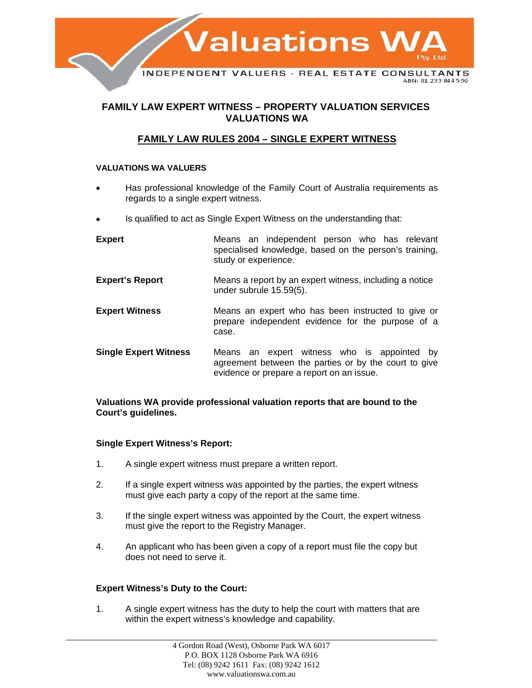

# **FAMILY LAW EXPERT WITNESS – PROPERTY VALUATION SERVICES VALUATIONS WA**

# **FAMILY LAW RULES 2004 – SINGLE EXPERT WITNESS**

## **VALUATIONS WA VALUERS**

- Has professional knowledge of the Family Court of Australia requirements as regards to a single expert witness.
- Is qualified to act as Single Expert Witness on the understanding that:

| <b>Expert</b>                | Means an independent person who has relevant<br>specialised knowledge, based on the person's training,<br>study or experience.                    |
|------------------------------|---------------------------------------------------------------------------------------------------------------------------------------------------|
| <b>Expert's Report</b>       | Means a report by an expert witness, including a notice<br>under subrule 15.59(5).                                                                |
| <b>Expert Witness</b>        | Means an expert who has been instructed to give or<br>prepare independent evidence for the purpose of a<br>case.                                  |
| <b>Single Expert Witness</b> | Means an expert witness who is appointed by<br>agreement between the parties or by the court to give<br>evidence or prepare a report on an issue. |

### **Valuations WA provide professional valuation reports that are bound to the Court's guidelines.**

## **Single Expert Witness's Report:**

- 1. A single expert witness must prepare a written report.
- 2. If a single expert witness was appointed by the parties, the expert witness must give each party a copy of the report at the same time.
- 3. If the single expert witness was appointed by the Court, the expert witness must give the report to the Registry Manager.
- 4. An applicant who has been given a copy of a report must file the copy but does not need to serve it.

## **Expert Witness's Duty to the Court:**

1. A single expert witness has the duty to help the court with matters that are within the expert witness's knowledge and capability.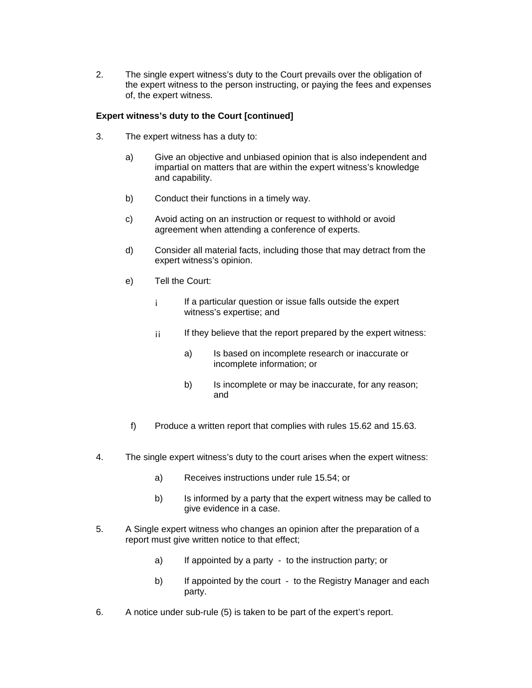2. The single expert witness's duty to the Court prevails over the obligation of the expert witness to the person instructing, or paying the fees and expenses of, the expert witness.

## **Expert witness's duty to the Court [continued]**

- 3. The expert witness has a duty to:
	- a) Give an objective and unbiased opinion that is also independent and impartial on matters that are within the expert witness's knowledge and capability.
	- b) Conduct their functions in a timely way.
	- c) Avoid acting on an instruction or request to withhold or avoid agreement when attending a conference of experts.
	- d) Consider all material facts, including those that may detract from the expert witness's opinion.
	- e) Tell the Court:
		- ¡ If a particular question or issue falls outside the expert witness's expertise; and
		- $\mathbf{i}$  If they believe that the report prepared by the expert witness:
			- a) Is based on incomplete research or inaccurate or incomplete information; or
			- b) Is incomplete or may be inaccurate, for any reason; and
	- f) Produce a written report that complies with rules 15.62 and 15.63.
- 4. The single expert witness's duty to the court arises when the expert witness:
	- a) Receives instructions under rule 15.54; or
	- b) Is informed by a party that the expert witness may be called to give evidence in a case.
- 5. A Single expert witness who changes an opinion after the preparation of a report must give written notice to that effect;
	- a) If appointed by a party to the instruction party; or
	- b) If appointed by the court to the Registry Manager and each party.
- 6. A notice under sub-rule (5) is taken to be part of the expert's report.